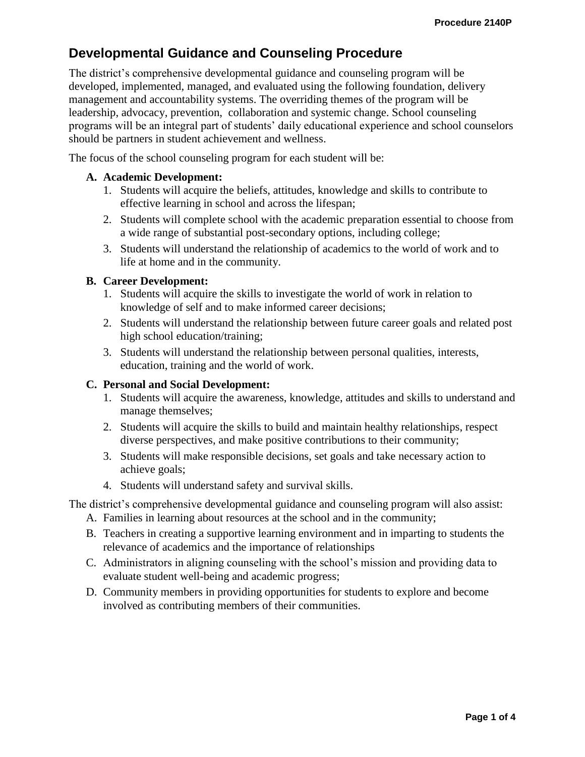# **Developmental Guidance and Counseling Procedure**

The district's comprehensive developmental guidance and counseling program will be developed, implemented, managed, and evaluated using the following foundation, delivery management and accountability systems. The overriding themes of the program will be leadership, advocacy, prevention, collaboration and systemic change. School counseling programs will be an integral part of students' daily educational experience and school counselors should be partners in student achievement and wellness.

The focus of the school counseling program for each student will be:

#### **A. Academic Development:**

- 1. Students will acquire the beliefs, attitudes, knowledge and skills to contribute to effective learning in school and across the lifespan;
- 2. Students will complete school with the academic preparation essential to choose from a wide range of substantial post-secondary options, including college;
- 3. Students will understand the relationship of academics to the world of work and to life at home and in the community.

## **B. Career Development:**

- 1. Students will acquire the skills to investigate the world of work in relation to knowledge of self and to make informed career decisions;
- 2. Students will understand the relationship between future career goals and related post high school education/training;
- 3. Students will understand the relationship between personal qualities, interests, education, training and the world of work.

#### **C. Personal and Social Development:**

- 1. Students will acquire the awareness, knowledge, attitudes and skills to understand and manage themselves;
- 2. Students will acquire the skills to build and maintain healthy relationships, respect diverse perspectives, and make positive contributions to their community;
- 3. Students will make responsible decisions, set goals and take necessary action to achieve goals;
- 4. Students will understand safety and survival skills.

The district's comprehensive developmental guidance and counseling program will also assist:

- A. Families in learning about resources at the school and in the community;
- B. Teachers in creating a supportive learning environment and in imparting to students the relevance of academics and the importance of relationships
- C. Administrators in aligning counseling with the school's mission and providing data to evaluate student well-being and academic progress;
- D. Community members in providing opportunities for students to explore and become involved as contributing members of their communities.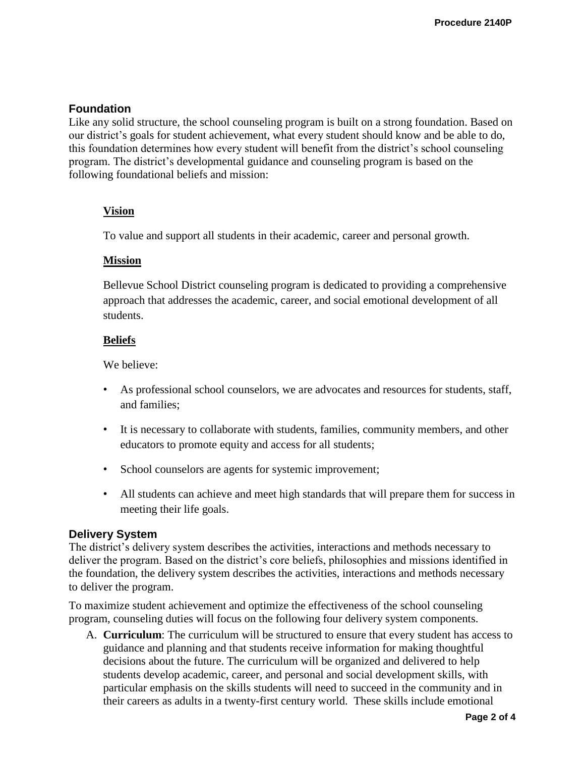# **Foundation**

Like any solid structure, the school counseling program is built on a strong foundation. Based on our district's goals for student achievement, what every student should know and be able to do, this foundation determines how every student will benefit from the district's school counseling program. The district's developmental guidance and counseling program is based on the following foundational beliefs and mission:

# **Vision**

To value and support all students in their academic, career and personal growth.

## **Mission**

Bellevue School District counseling program is dedicated to providing a comprehensive approach that addresses the academic, career, and social emotional development of all students.

## **Beliefs**

We believe:

- As professional school counselors, we are advocates and resources for students, staff, and families;
- It is necessary to collaborate with students, families, community members, and other educators to promote equity and access for all students;
- School counselors are agents for systemic improvement;
- All students can achieve and meet high standards that will prepare them for success in meeting their life goals.

## **Delivery System**

The district's delivery system describes the activities, interactions and methods necessary to deliver the program. Based on the district's core beliefs, philosophies and missions identified in the foundation, the delivery system describes the activities, interactions and methods necessary to deliver the program.

To maximize student achievement and optimize the effectiveness of the school counseling program, counseling duties will focus on the following four delivery system components.

A. **Curriculum**: The curriculum will be structured to ensure that every student has access to guidance and planning and that students receive information for making thoughtful decisions about the future. The curriculum will be organized and delivered to help students develop academic, career, and personal and social development skills, with particular emphasis on the skills students will need to succeed in the community and in their careers as adults in a twenty-first century world. These skills include emotional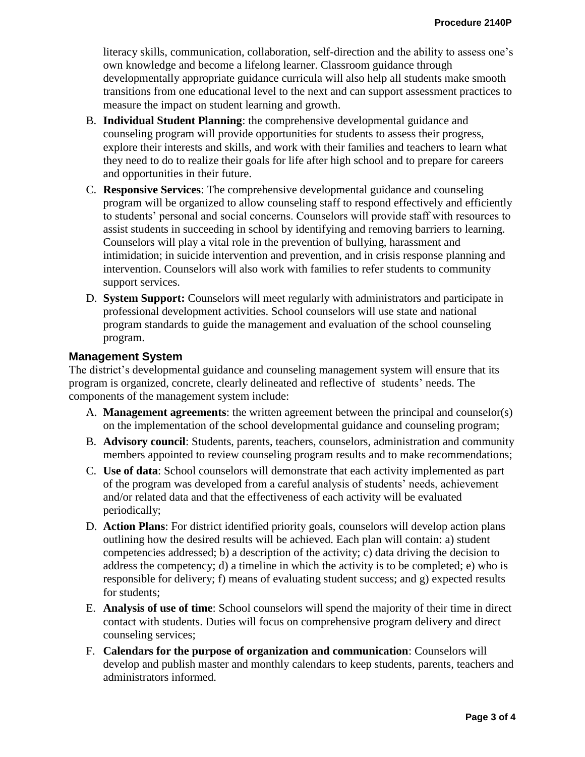literacy skills, communication, collaboration, self-direction and the ability to assess one's own knowledge and become a lifelong learner. Classroom guidance through developmentally appropriate guidance curricula will also help all students make smooth transitions from one educational level to the next and can support assessment practices to measure the impact on student learning and growth.

- B. **Individual Student Planning**: the comprehensive developmental guidance and counseling program will provide opportunities for students to assess their progress, explore their interests and skills, and work with their families and teachers to learn what they need to do to realize their goals for life after high school and to prepare for careers and opportunities in their future.
- C. **Responsive Services**: The comprehensive developmental guidance and counseling program will be organized to allow counseling staff to respond effectively and efficiently to students' personal and social concerns. Counselors will provide staff with resources to assist students in succeeding in school by identifying and removing barriers to learning. Counselors will play a vital role in the prevention of bullying, harassment and intimidation; in suicide intervention and prevention, and in crisis response planning and intervention. Counselors will also work with families to refer students to community support services.
- D. **System Support:** Counselors will meet regularly with administrators and participate in professional development activities. School counselors will use state and national program standards to guide the management and evaluation of the school counseling program.

#### **Management System**

The district's developmental guidance and counseling management system will ensure that its program is organized, concrete, clearly delineated and reflective of students' needs. The components of the management system include:

- A. **Management agreements**: the written agreement between the principal and counselor(s) on the implementation of the school developmental guidance and counseling program;
- B. **Advisory council**: Students, parents, teachers, counselors, administration and community members appointed to review counseling program results and to make recommendations;
- C. **Use of data**: School counselors will demonstrate that each activity implemented as part of the program was developed from a careful analysis of students' needs, achievement and/or related data and that the effectiveness of each activity will be evaluated periodically;
- D. **Action Plans**: For district identified priority goals, counselors will develop action plans outlining how the desired results will be achieved. Each plan will contain: a) student competencies addressed; b) a description of the activity; c) data driving the decision to address the competency; d) a timeline in which the activity is to be completed; e) who is responsible for delivery; f) means of evaluating student success; and g) expected results for students;
- E. **Analysis of use of time**: School counselors will spend the majority of their time in direct contact with students. Duties will focus on comprehensive program delivery and direct counseling services;
- F. **Calendars for the purpose of organization and communication**: Counselors will develop and publish master and monthly calendars to keep students, parents, teachers and administrators informed.